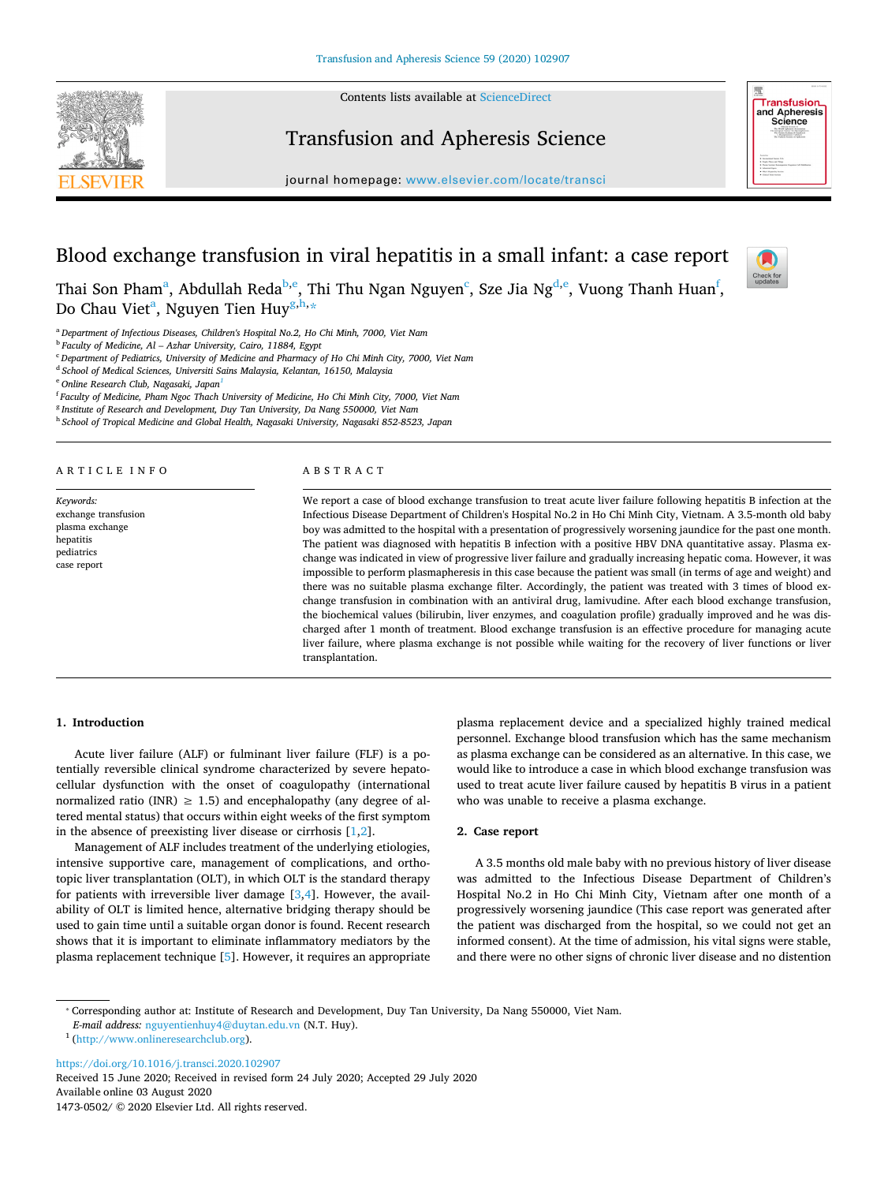Contents lists available at [ScienceDirect](http://www.sciencedirect.com/science/journal/14730502) 



# Transfusion and Apheresis Science

journal homepage: [www.elsevier.com/locate/transci](https://www.elsevier.com/locate/transci) 



Check for<br>updates

# Blood exchange transfusion in viral hepatitis in a small infant: a case report

Th[a](#page-0-0)i Son Pham<sup>a</sup>, Abdullah R[e](#page-0-2)da<sup>b,e</sup>, Thi Thu Ngan Nguyen<sup>c</sup>, Sze Jia Ng<sup>d,e</sup>, Vuong Thanh Huan<sup>[f](#page-0-5)</sup>, Do Ch[a](#page-0-0)u Viet<sup>a</sup>, Nguyen Tien Huy<sup>g,[h](#page-0-7),</sup>\*

<span id="page-0-0"></span><sup>a</sup>*Department of Infectious Diseases, Children's Hospital No.2, Ho Chi Minh, 7000, Viet Nam* 

<span id="page-0-1"></span><sup>b</sup>*Faculty of Medicine, Al – Azhar University, Cairo, 11884, Egypt* 

<span id="page-0-3"></span><sup>c</sup>*Department of Pediatrics, University of Medicine and Pharmacy of Ho Chi Minh City, 7000, Viet Nam* 

<span id="page-0-4"></span><sup>d</sup>*School of Medical Sciences, Universiti Sains Malaysia, Kelantan, 16150, Malaysia* 

<span id="page-0-2"></span><sup>e</sup>*Online Research Club, Nagasaki, Japan[1](#page-0-9)* 

<span id="page-0-5"></span><sup>f</sup>*Faculty of Medicine, Pham Ngoc Thach University of Medicine, Ho Chi Minh City, 7000, Viet Nam* 

<span id="page-0-6"></span><sup>g</sup>*Institute of Research and Development, Duy Tan University, Da Nang 550000, Viet Nam* 

<span id="page-0-7"></span><sup>h</sup>*School of Tropical Medicine and Global Health, Nagasaki University, Nagasaki 852-8523, Japan* 

A R T I C L E I N F O

*Keywords:*  exchange transfusion plasma exchange hepatitis pediatrics

case report

#### ABSTRACT

We report a case of blood exchange transfusion to treat acute liver failure following hepatitis B infection at the Infectious Disease Department of Children's Hospital No.2 in Ho Chi Minh City, Vietnam. A 3.5-month old baby boy was admitted to the hospital with a presentation of progressively worsening jaundice for the past one month. The patient was diagnosed with hepatitis B infection with a positive HBV DNA quantitative assay. Plasma exchange was indicated in view of progressive liver failure and gradually increasing hepatic coma. However, it was impossible to perform plasmapheresis in this case because the patient was small (in terms of age and weight) and there was no suitable plasma exchange filter. Accordingly, the patient was treated with 3 times of blood exchange transfusion in combination with an antiviral drug, lamivudine. After each blood exchange transfusion, the biochemical values (bilirubin, liver enzymes, and coagulation profile) gradually improved and he was discharged after 1 month of treatment. Blood exchange transfusion is an effective procedure for managing acute liver failure, where plasma exchange is not possible while waiting for the recovery of liver functions or liver transplantation.

#### **1. Introduction**

Acute liver failure (ALF) or fulminant liver failure (FLF) is a potentially reversible clinical syndrome characterized by severe hepatocellular dysfunction with the onset of coagulopathy (international normalized ratio (INR)  $\geq$  1.5) and encephalopathy (any degree of altered mental status) that occurs within eight weeks of the first symptom in the absence of preexisting liver disease or cirrhosis [\[1,](#page-2-0)[2](#page-2-1)].

Management of ALF includes treatment of the underlying etiologies, intensive supportive care, management of complications, and orthotopic liver transplantation (OLT), in which OLT is the standard therapy for patients with irreversible liver damage  $[3,4]$  $[3,4]$  $[3,4]$ . However, the availability of OLT is limited hence, alternative bridging therapy should be used to gain time until a suitable organ donor is found. Recent research shows that it is important to eliminate inflammatory mediators by the plasma replacement technique [\[5\]](#page-2-4). However, it requires an appropriate plasma replacement device and a specialized highly trained medical personnel. Exchange blood transfusion which has the same mechanism as plasma exchange can be considered as an alternative. In this case, we would like to introduce a case in which blood exchange transfusion was used to treat acute liver failure caused by hepatitis B virus in a patient who was unable to receive a plasma exchange.

# **2. Case report**

A 3.5 months old male baby with no previous history of liver disease was admitted to the Infectious Disease Department of Children's Hospital No.2 in Ho Chi Minh City, Vietnam after one month of a progressively worsening jaundice (This case report was generated after the patient was discharged from the hospital, so we could not get an informed consent). At the time of admission, his vital signs were stable, and there were no other signs of chronic liver disease and no distention

<https://doi.org/10.1016/j.transci.2020.102907> Received 15 June 2020; Received in revised form 24 July 2020; Accepted 29 July 2020 Available online 03 August 2020

1473-0502/ © 2020 Elsevier Ltd. All rights reserved.

<span id="page-0-8"></span><sup>⁎</sup> Corresponding author at: Institute of Research and Development, Duy Tan University, Da Nang 550000, Viet Nam.

*E-mail address:* [nguyentienhuy4@duytan.edu.vn](mailto:nguyentienhuy4@duytan.edu.vn) (N.T. Huy). 1 [\(http://www.onlineresearchclub.org\)](http://www.onlineresearchclub.org).

<span id="page-0-9"></span>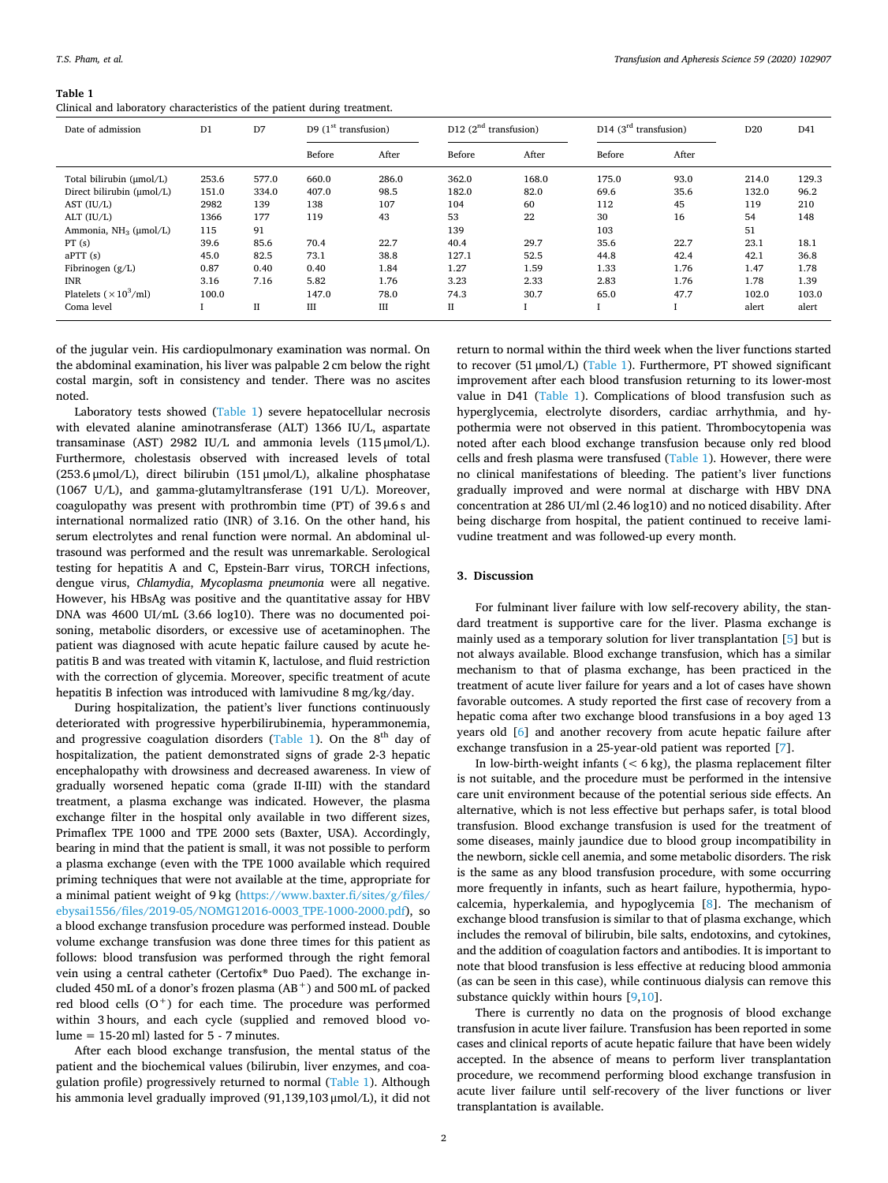# Clinical and laboratory characteristics of the patient during treatment.

| Date of admission                         | D <sub>1</sub> | D7          | D9 $(1st$ transfusion) |       | D12 $(2nd$ transfusion) |       | D <sub>14</sub> ( $3rd$ transfusion) |       | D <sub>20</sub> | D41   |
|-------------------------------------------|----------------|-------------|------------------------|-------|-------------------------|-------|--------------------------------------|-------|-----------------|-------|
|                                           |                |             | Before                 | After | Before                  | After | Before                               | After |                 |       |
| Total bilirubin (µmol/L)                  | 253.6          | 577.0       | 660.0                  | 286.0 | 362.0                   | 168.0 | 175.0                                | 93.0  | 214.0           | 129.3 |
| Direct bilirubin (µmol/L)                 | 151.0          | 334.0       | 407.0                  | 98.5  | 182.0                   | 82.0  | 69.6                                 | 35.6  | 132.0           | 96.2  |
| AST $(IU/L)$                              | 2982           | 139         | 138                    | 107   | 104                     | 60    | 112                                  | 45    | 119             | 210   |
| $ALT$ ( $IU/L$ )                          | 1366           | 177         | 119                    | 43    | 53                      | 22    | 30                                   | 16    | 54              | 148   |
| Ammonia, $NH_3$ ( $\mu$ mol/L)            | 115            | 91          |                        |       | 139                     |       | 103                                  |       | 51              |       |
| PT(s)                                     | 39.6           | 85.6        | 70.4                   | 22.7  | 40.4                    | 29.7  | 35.6                                 | 22.7  | 23.1            | 18.1  |
| aPTT(s)                                   | 45.0           | 82.5        | 73.1                   | 38.8  | 127.1                   | 52.5  | 44.8                                 | 42.4  | 42.1            | 36.8  |
| Fibrinogen $(g/L)$                        | 0.87           | 0.40        | 0.40                   | 1.84  | 1.27                    | 1.59  | 1.33                                 | 1.76  | 1.47            | 1.78  |
| <b>INR</b>                                | 3.16           | 7.16        | 5.82                   | 1.76  | 3.23                    | 2.33  | 2.83                                 | 1.76  | 1.78            | 1.39  |
| Platelets ( $\times$ 10 <sup>3</sup> /ml) | 100.0          |             | 147.0                  | 78.0  | 74.3                    | 30.7  | 65.0                                 | 47.7  | 102.0           | 103.0 |
| Coma level                                |                | $_{\rm II}$ | III                    | III   | П                       |       |                                      |       | alert           | alert |

<span id="page-1-0"></span>**Table 1** 

of the jugular vein. His cardiopulmonary examination was normal. On the abdominal examination, his liver was palpable 2 cm below the right costal margin, soft in consistency and tender. There was no ascites noted.

Laboratory tests showed [\(Table 1](#page-1-0)) severe hepatocellular necrosis with elevated alanine aminotransferase (ALT) 1366 IU/L, aspartate transaminase (AST) 2982 IU/L and ammonia levels (115 μmol/L). Furthermore, cholestasis observed with increased levels of total (253.6 μmol/L), direct bilirubin (151 μmol/L), alkaline phosphatase (1067 U/L), and gamma-glutamyltransferase (191 U/L). Moreover, coagulopathy was present with prothrombin time (PT) of 39.6 s and international normalized ratio (INR) of 3.16. On the other hand, his serum electrolytes and renal function were normal. An abdominal ultrasound was performed and the result was unremarkable. Serological testing for hepatitis A and C, Epstein-Barr virus, TORCH infections, dengue virus, *Chlamydia*, *Mycoplasma pneumonia* were all negative. However, his HBsAg was positive and the quantitative assay for HBV DNA was 4600 UI/mL (3.66 log10). There was no documented poisoning, metabolic disorders, or excessive use of acetaminophen. The patient was diagnosed with acute hepatic failure caused by acute hepatitis B and was treated with vitamin K, lactulose, and fluid restriction with the correction of glycemia. Moreover, specific treatment of acute hepatitis B infection was introduced with lamivudine 8 mg/kg/day.

During hospitalization, the patient's liver functions continuously deteriorated with progressive hyperbilirubinemia, hyperammonemia, and progressive coagulation disorders ([Table 1\)](#page-1-0). On the  $8<sup>th</sup>$  day of hospitalization, the patient demonstrated signs of grade 2-3 hepatic encephalopathy with drowsiness and decreased awareness. In view of gradually worsened hepatic coma (grade II-III) with the standard treatment, a plasma exchange was indicated. However, the plasma exchange filter in the hospital only available in two different sizes, Primaflex TPE 1000 and TPE 2000 sets (Baxter, USA). Accordingly, bearing in mind that the patient is small, it was not possible to perform a plasma exchange (even with the TPE 1000 available which required priming techniques that were not available at the time, appropriate for a minimal patient weight of 9 kg ([https://www.baxter.fi/sites/g/files/](https://www.baxter.fi/sites/g/files/ebysai1556/files/2019-05/NOMG12016-0003_TPE-1000-2000.pdf)  [ebysai1556/files/2019-05/NOMG12016-0003\\_TPE-1000-2000.pdf\)](https://www.baxter.fi/sites/g/files/ebysai1556/files/2019-05/NOMG12016-0003_TPE-1000-2000.pdf), so a blood exchange transfusion procedure was performed instead. Double volume exchange transfusion was done three times for this patient as follows: blood transfusion was performed through the right femoral vein using a central catheter (Certofix® Duo Paed). The exchange included 450 mL of a donor's frozen plasma  $(AB<sup>+</sup>)$  and 500 mL of packed red blood cells  $(O<sup>+</sup>)$  for each time. The procedure was performed within 3 hours, and each cycle (supplied and removed blood vo $lume = 15-20$  ml) lasted for  $5 - 7$  minutes.

After each blood exchange transfusion, the mental status of the patient and the biochemical values (bilirubin, liver enzymes, and coagulation profile) progressively returned to normal [\(Table 1](#page-1-0)). Although his ammonia level gradually improved (91,139,103 μmol/L), it did not return to normal within the third week when the liver functions started to recover (51 μmol/L) [\(Table 1](#page-1-0)). Furthermore, PT showed significant improvement after each blood transfusion returning to its lower-most value in D41 ([Table 1\)](#page-1-0). Complications of blood transfusion such as hyperglycemia, electrolyte disorders, cardiac arrhythmia, and hypothermia were not observed in this patient. Thrombocytopenia was noted after each blood exchange transfusion because only red blood cells and fresh plasma were transfused [\(Table 1\)](#page-1-0). However, there were no clinical manifestations of bleeding. The patient's liver functions gradually improved and were normal at discharge with HBV DNA concentration at 286 UI/ml (2.46 log10) and no noticed disability. After being discharge from hospital, the patient continued to receive lamivudine treatment and was followed-up every month.

### **3. Discussion**

For fulminant liver failure with low self-recovery ability, the standard treatment is supportive care for the liver. Plasma exchange is mainly used as a temporary solution for liver transplantation [[5](#page-2-4)] but is not always available. Blood exchange transfusion, which has a similar mechanism to that of plasma exchange, has been practiced in the treatment of acute liver failure for years and a lot of cases have shown favorable outcomes. A study reported the first case of recovery from a hepatic coma after two exchange blood transfusions in a boy aged 13 years old [\[6\]](#page-2-5) and another recovery from acute hepatic failure after exchange transfusion in a 25-year-old patient was reported [\[7\]](#page-2-6).

In low-birth-weight infants  $(< 6 \text{ kg})$ , the plasma replacement filter is not suitable, and the procedure must be performed in the intensive care unit environment because of the potential serious side effects. An alternative, which is not less effective but perhaps safer, is total blood transfusion. Blood exchange transfusion is used for the treatment of some diseases, mainly jaundice due to blood group incompatibility in the newborn, sickle cell anemia, and some metabolic disorders. The risk is the same as any blood transfusion procedure, with some occurring more frequently in infants, such as heart failure, hypothermia, hypocalcemia, hyperkalemia, and hypoglycemia [[8](#page-2-7)]. The mechanism of exchange blood transfusion is similar to that of plasma exchange, which includes the removal of bilirubin, bile salts, endotoxins, and cytokines, and the addition of coagulation factors and antibodies. It is important to note that blood transfusion is less effective at reducing blood ammonia (as can be seen in this case), while continuous dialysis can remove this substance quickly within hours [\[9,](#page-2-8)[10\]](#page-2-9).

There is currently no data on the prognosis of blood exchange transfusion in acute liver failure. Transfusion has been reported in some cases and clinical reports of acute hepatic failure that have been widely accepted. In the absence of means to perform liver transplantation procedure, we recommend performing blood exchange transfusion in acute liver failure until self-recovery of the liver functions or liver transplantation is available.